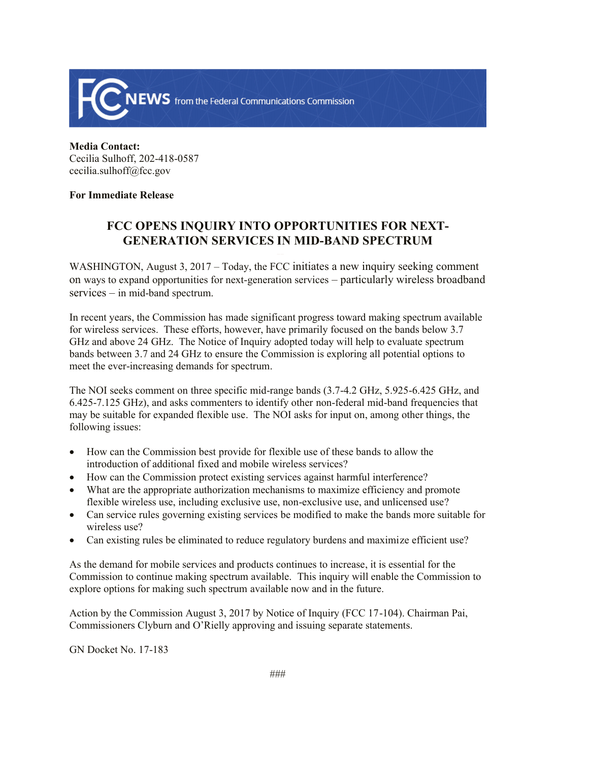

**Media Contact:**  Cecilia Sulhoff, 202-418-0587 cecilia.sulhoff@fcc.gov

## **For Immediate Release**

## **FCC OPENS INQUIRY INTO OPPORTUNITIES FOR NEXT-GENERATION SERVICES IN MID-BAND SPECTRUM**

WASHINGTON, August 3, 2017 – Today, the FCC initiates a new inquiry seeking comment on ways to expand opportunities for next-generation services – particularly wireless broadband services – in mid-band spectrum.

In recent years, the Commission has made significant progress toward making spectrum available for wireless services. These efforts, however, have primarily focused on the bands below 3.7 GHz and above 24 GHz. The Notice of Inquiry adopted today will help to evaluate spectrum bands between 3.7 and 24 GHz to ensure the Commission is exploring all potential options to meet the ever-increasing demands for spectrum.

The NOI seeks comment on three specific mid-range bands (3.7-4.2 GHz, 5.925-6.425 GHz, and 6.425-7.125 GHz), and asks commenters to identify other non-federal mid-band frequencies that may be suitable for expanded flexible use. The NOI asks for input on, among other things, the following issues:

- How can the Commission best provide for flexible use of these bands to allow the introduction of additional fixed and mobile wireless services?
- How can the Commission protect existing services against harmful interference?
- What are the appropriate authorization mechanisms to maximize efficiency and promote flexible wireless use, including exclusive use, non-exclusive use, and unlicensed use?
- Can service rules governing existing services be modified to make the bands more suitable for wireless use?
- Can existing rules be eliminated to reduce regulatory burdens and maximize efficient use?

As the demand for mobile services and products continues to increase, it is essential for the Commission to continue making spectrum available. This inquiry will enable the Commission to explore options for making such spectrum available now and in the future.

Action by the Commission August 3, 2017 by Notice of Inquiry (FCC 17-104). Chairman Pai, Commissioners Clyburn and O'Rielly approving and issuing separate statements.

GN Docket No. 17-183